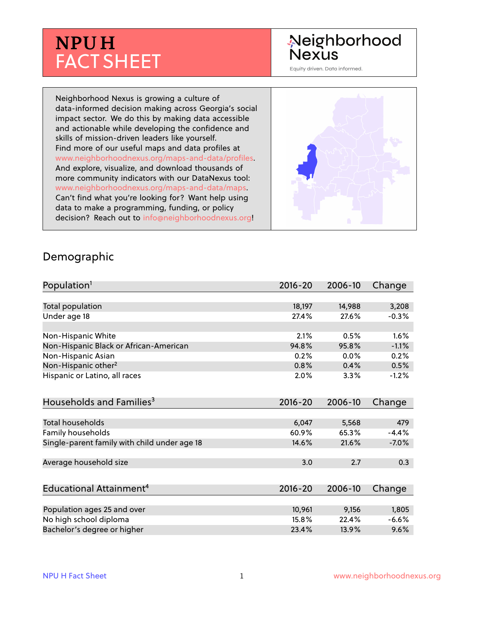# **NPU H** FACT SHEET

## Neighborhood **Nexus**

Equity driven. Data informed.

Neighborhood Nexus is growing a culture of data-informed decision making across Georgia's social impact sector. We do this by making data accessible and actionable while developing the confidence and skills of mission-driven leaders like yourself. Find more of our useful maps and data profiles at www.neighborhoodnexus.org/maps-and-data/profiles. And explore, visualize, and download thousands of more community indicators with our DataNexus tool: www.neighborhoodnexus.org/maps-and-data/maps. Can't find what you're looking for? Want help using data to make a programming, funding, or policy decision? Reach out to [info@neighborhoodnexus.org!](mailto:info@neighborhoodnexus.org)



#### Demographic

| Population <sup>1</sup>                      | $2016 - 20$ | 2006-10 | Change  |
|----------------------------------------------|-------------|---------|---------|
|                                              |             |         |         |
| Total population                             | 18,197      | 14,988  | 3,208   |
| Under age 18                                 | 27.4%       | 27.6%   | $-0.3%$ |
|                                              |             |         |         |
| Non-Hispanic White                           | 2.1%        | 0.5%    | 1.6%    |
| Non-Hispanic Black or African-American       | 94.8%       | 95.8%   | $-1.1%$ |
| Non-Hispanic Asian                           | 0.2%        | 0.0%    | 0.2%    |
| Non-Hispanic other <sup>2</sup>              | 0.8%        | 0.4%    | 0.5%    |
| Hispanic or Latino, all races                | 2.0%        | 3.3%    | $-1.2%$ |
|                                              |             |         |         |
| Households and Families <sup>3</sup>         | $2016 - 20$ | 2006-10 | Change  |
|                                              |             |         |         |
| <b>Total households</b>                      | 6,047       | 5,568   | 479     |
| Family households                            | 60.9%       | 65.3%   | $-4.4%$ |
| Single-parent family with child under age 18 | 14.6%       | 21.6%   | $-7.0%$ |
|                                              |             |         |         |
| Average household size                       | 3.0         | 2.7     | 0.3     |
|                                              |             |         |         |
| Educational Attainment <sup>4</sup>          | $2016 - 20$ | 2006-10 | Change  |
|                                              |             |         |         |
| Population ages 25 and over                  | 10,961      | 9,156   | 1,805   |
| No high school diploma                       | 15.8%       | 22.4%   | $-6.6%$ |
| Bachelor's degree or higher                  | 23.4%       | 13.9%   | 9.6%    |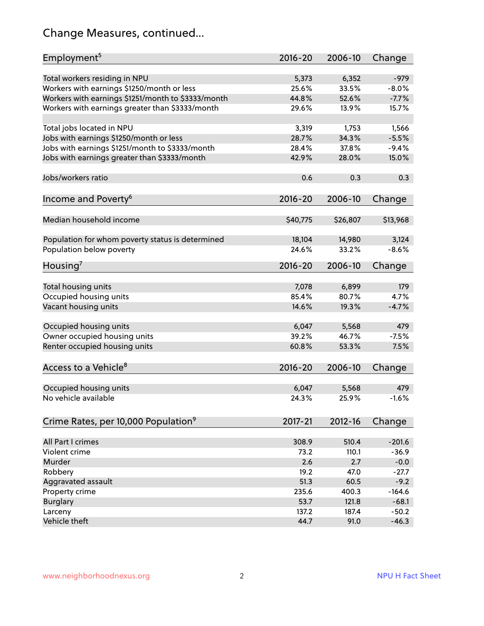## Change Measures, continued...

| Employment <sup>5</sup>                            | $2016 - 20$ | 2006-10     | Change   |
|----------------------------------------------------|-------------|-------------|----------|
|                                                    |             |             |          |
| Total workers residing in NPU                      | 5,373       | 6,352       | $-979$   |
| Workers with earnings \$1250/month or less         | 25.6%       | 33.5%       | $-8.0%$  |
| Workers with earnings \$1251/month to \$3333/month | 44.8%       | 52.6%       | $-7.7%$  |
| Workers with earnings greater than \$3333/month    | 29.6%       | 13.9%       | 15.7%    |
| Total jobs located in NPU                          | 3,319       | 1,753       | 1,566    |
| Jobs with earnings \$1250/month or less            | 28.7%       | 34.3%       | $-5.5%$  |
| Jobs with earnings \$1251/month to \$3333/month    | 28.4%       | 37.8%       | $-9.4%$  |
| Jobs with earnings greater than \$3333/month       | 42.9%       | 28.0%       | 15.0%    |
|                                                    |             |             |          |
| Jobs/workers ratio                                 | 0.6         | 0.3         | 0.3      |
| Income and Poverty <sup>6</sup>                    | 2016-20     | 2006-10     | Change   |
|                                                    |             |             |          |
| Median household income                            | \$40,775    | \$26,807    | \$13,968 |
|                                                    |             |             |          |
| Population for whom poverty status is determined   | 18,104      | 14,980      | 3,124    |
| Population below poverty                           | 24.6%       | 33.2%       | $-8.6%$  |
| Housing <sup>7</sup>                               | 2016-20     | 2006-10     | Change   |
|                                                    |             |             |          |
| Total housing units                                | 7,078       | 6,899       | 179      |
| Occupied housing units                             | 85.4%       | 80.7%       | 4.7%     |
| Vacant housing units                               | 14.6%       | 19.3%       | $-4.7%$  |
|                                                    |             |             |          |
| Occupied housing units                             | 6,047       | 5,568       | 479      |
| Owner occupied housing units                       | 39.2%       | 46.7%       | $-7.5%$  |
| Renter occupied housing units                      | 60.8%       | 53.3%       | 7.5%     |
| Access to a Vehicle <sup>8</sup>                   | $2016 - 20$ | 2006-10     | Change   |
|                                                    |             |             |          |
| Occupied housing units                             | 6,047       | 5,568       | 479      |
| No vehicle available                               | 24.3%       | 25.9%       | $-1.6%$  |
|                                                    |             |             |          |
| Crime Rates, per 10,000 Population <sup>9</sup>    | 2017-21     | $2012 - 16$ | Change   |
|                                                    |             |             |          |
| All Part I crimes                                  | 308.9       | 510.4       | $-201.6$ |
| Violent crime                                      | 73.2        | 110.1       | $-36.9$  |
| Murder                                             | 2.6         | 2.7         | $-0.0$   |
| Robbery                                            | 19.2        | 47.0        | $-27.7$  |
| Aggravated assault                                 | 51.3        | 60.5        | $-9.2$   |
| Property crime                                     | 235.6       | 400.3       | $-164.6$ |
| <b>Burglary</b>                                    | 53.7        | 121.8       | $-68.1$  |
| Larceny                                            | 137.2       | 187.4       | $-50.2$  |
| Vehicle theft                                      | 44.7        | 91.0        | $-46.3$  |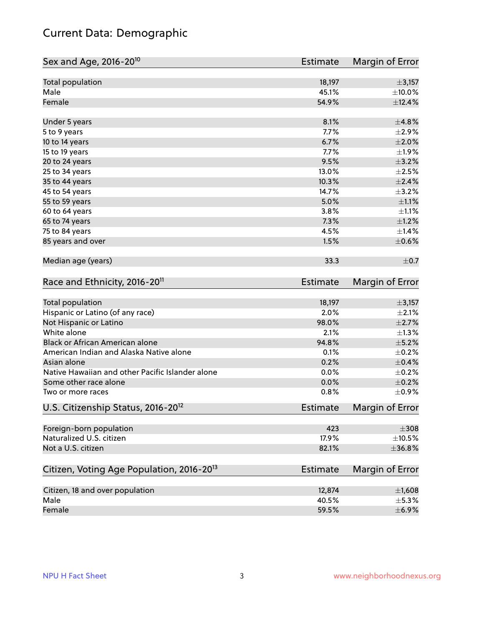## Current Data: Demographic

| Sex and Age, 2016-20 <sup>10</sup>                    | Estimate        | Margin of Error |
|-------------------------------------------------------|-----------------|-----------------|
| Total population                                      | 18,197          | ±3,157          |
| Male                                                  | 45.1%           | $\pm$ 10.0%     |
| Female                                                | 54.9%           | ±12.4%          |
| Under 5 years                                         | 8.1%            | ±4.8%           |
| 5 to 9 years                                          | 7.7%            | $\pm 2.9\%$     |
| 10 to 14 years                                        | 6.7%            | $\pm 2.0\%$     |
| 15 to 19 years                                        | 7.7%            | ±1.9%           |
| 20 to 24 years                                        | 9.5%            | $\pm$ 3.2%      |
| 25 to 34 years                                        | 13.0%           | $\pm 2.5\%$     |
| 35 to 44 years                                        | 10.3%           | $\pm 2.4\%$     |
| 45 to 54 years                                        | 14.7%           | $\pm$ 3.2%      |
| 55 to 59 years                                        | 5.0%            | $\pm 1.1\%$     |
| 60 to 64 years                                        | 3.8%            | $\pm 1.1\%$     |
| 65 to 74 years                                        | 7.3%            | $\pm 1.2\%$     |
| 75 to 84 years                                        | 4.5%            | ±1.4%           |
| 85 years and over                                     | 1.5%            | $\pm$ 0.6%      |
| Median age (years)                                    | 33.3            | $\pm$ 0.7       |
| Race and Ethnicity, 2016-20 <sup>11</sup>             | <b>Estimate</b> | Margin of Error |
| Total population                                      | 18,197          | ±3,157          |
| Hispanic or Latino (of any race)                      | 2.0%            | $\pm 2.1\%$     |
| Not Hispanic or Latino                                | 98.0%           | $\pm 2.7\%$     |
| White alone                                           | 2.1%            | $\pm 1.3\%$     |
| Black or African American alone                       | 94.8%           | $\pm$ 5.2%      |
| American Indian and Alaska Native alone               | 0.1%            | $\pm$ 0.2%      |
| Asian alone                                           | 0.2%            | $\pm$ 0.4%      |
| Native Hawaiian and other Pacific Islander alone      | 0.0%            | $\pm$ 0.2%      |
| Some other race alone                                 | 0.0%            | $\pm$ 0.2%      |
| Two or more races                                     | 0.8%            | $\pm$ 0.9%      |
| U.S. Citizenship Status, 2016-20 <sup>12</sup>        | Estimate        | Margin of Error |
| Foreign-born population                               | 423             | $\pm 308$       |
| Naturalized U.S. citizen                              | 17.9%           | $\pm$ 10.5%     |
| Not a U.S. citizen                                    | 82.1%           | ±36.8%          |
| Citizen, Voting Age Population, 2016-20 <sup>13</sup> | Estimate        | Margin of Error |
| Citizen, 18 and over population                       | 12,874          | ±1,608          |
| Male                                                  | 40.5%           | $\pm$ 5.3%      |
| Female                                                | 59.5%           | $\pm$ 6.9%      |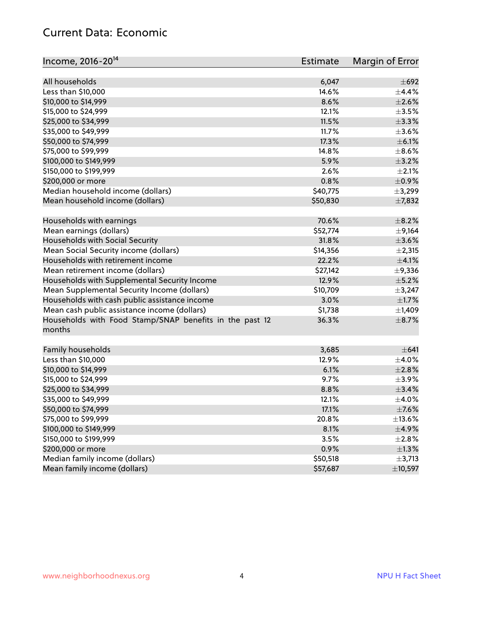#### Current Data: Economic

| Income, 2016-20 <sup>14</sup>                           | <b>Estimate</b> | Margin of Error          |
|---------------------------------------------------------|-----------------|--------------------------|
| All households                                          | 6,047           | $\pm 692$                |
| Less than \$10,000                                      | 14.6%           | ±4.4%                    |
| \$10,000 to \$14,999                                    | 8.6%            | $\pm 2.6\%$              |
| \$15,000 to \$24,999                                    | 12.1%           | $\pm 3.5\%$              |
| \$25,000 to \$34,999                                    | 11.5%           | $\pm$ 3.3%               |
|                                                         | 11.7%           | $\pm 3.6\%$              |
| \$35,000 to \$49,999                                    | 17.3%           |                          |
| \$50,000 to \$74,999                                    |                 | $\pm$ 6.1%<br>$\pm$ 8.6% |
| \$75,000 to \$99,999                                    | 14.8%           |                          |
| \$100,000 to \$149,999                                  | 5.9%            | $\pm$ 3.2%               |
| \$150,000 to \$199,999                                  | 2.6%            | $\pm 2.1\%$              |
| \$200,000 or more                                       | 0.8%            | $\pm$ 0.9%               |
| Median household income (dollars)                       | \$40,775        | ±3,299                   |
| Mean household income (dollars)                         | \$50,830        | ±7,832                   |
| Households with earnings                                | 70.6%           | $\pm$ 8.2%               |
| Mean earnings (dollars)                                 | \$52,774        | $\pm$ 9,164              |
| Households with Social Security                         | 31.8%           | $\pm 3.6\%$              |
| Mean Social Security income (dollars)                   | \$14,356        | $\pm 2,315$              |
| Households with retirement income                       | 22.2%           | $\pm$ 4.1%               |
| Mean retirement income (dollars)                        | \$27,142        | $\pm$ 9,336              |
| Households with Supplemental Security Income            | 12.9%           | $\pm$ 5.2%               |
| Mean Supplemental Security Income (dollars)             | \$10,709        | ±3,247                   |
| Households with cash public assistance income           | 3.0%            | $\pm 1.7\%$              |
| Mean cash public assistance income (dollars)            | \$1,738         | $\pm$ 1,409              |
| Households with Food Stamp/SNAP benefits in the past 12 | 36.3%           | $\pm$ 8.7%               |
| months                                                  |                 |                          |
|                                                         |                 |                          |
| Family households                                       | 3,685           | $\pm 641$                |
| Less than \$10,000                                      | 12.9%           | $\pm$ 4.0%               |
| \$10,000 to \$14,999                                    | 6.1%            | ±2.8%                    |
| \$15,000 to \$24,999                                    | 9.7%            | $\pm$ 3.9%               |
| \$25,000 to \$34,999                                    | 8.8%            | ±3.4%                    |
| \$35,000 to \$49,999                                    | 12.1%           | $\pm$ 4.0%               |
| \$50,000 to \$74,999                                    | 17.1%           | $\pm$ 7.6%               |
| \$75,000 to \$99,999                                    | 20.8%           | ±13.6%                   |
| \$100,000 to \$149,999                                  | 8.1%            | $\pm$ 4.9%               |
| \$150,000 to \$199,999                                  | 3.5%            | ±2.8%                    |
| \$200,000 or more                                       | 0.9%            | $\pm 1.3\%$              |
| Median family income (dollars)                          | \$50,518        | $\pm$ 3,713              |
| Mean family income (dollars)                            | \$57,687        | ±10,597                  |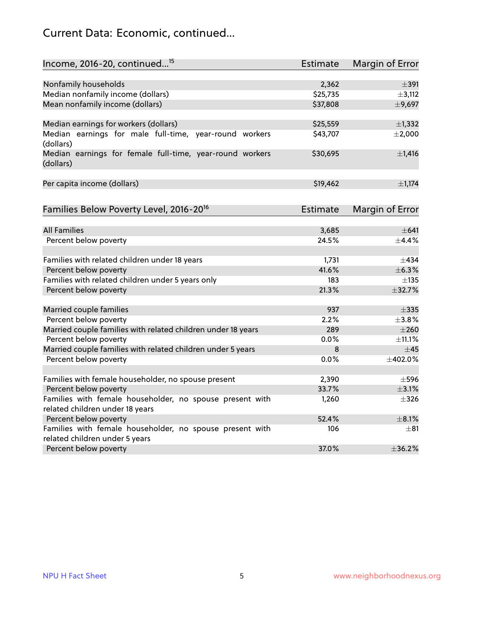## Current Data: Economic, continued...

| Income, 2016-20, continued <sup>15</sup>                              | <b>Estimate</b> | Margin of Error |
|-----------------------------------------------------------------------|-----------------|-----------------|
|                                                                       |                 |                 |
| Nonfamily households                                                  | 2,362           | $\pm$ 391       |
| Median nonfamily income (dollars)                                     | \$25,735        | ±3,112          |
| Mean nonfamily income (dollars)                                       | \$37,808        | ±9,697          |
| Median earnings for workers (dollars)                                 | \$25,559        | $\pm$ 1,332     |
| Median earnings for male full-time, year-round workers<br>(dollars)   | \$43,707        | $\pm 2,000$     |
| Median earnings for female full-time, year-round workers<br>(dollars) | \$30,695        | $\pm$ 1,416     |
| Per capita income (dollars)                                           | \$19,462        | ±1,174          |
| Families Below Poverty Level, 2016-20 <sup>16</sup>                   | <b>Estimate</b> | Margin of Error |
|                                                                       |                 |                 |
| <b>All Families</b>                                                   | 3,685           | $\pm 641$       |
| Percent below poverty                                                 | 24.5%           | $+4.4%$         |
| Families with related children under 18 years                         | 1,731           | $\pm$ 434       |
| Percent below poverty                                                 | 41.6%           | ±6.3%           |
| Families with related children under 5 years only                     | 183             | $\pm$ 135       |
| Percent below poverty                                                 | 21.3%           | ±32.7%          |
| Married couple families                                               | 937             | $\pm$ 335       |
| Percent below poverty                                                 | 2.2%            | $\pm$ 3.8%      |
| Married couple families with related children under 18 years          | 289             | $\pm 260$       |
| Percent below poverty                                                 | $0.0\%$         | ±11.1%          |
| Married couple families with related children under 5 years           | 8               | ±45             |
| Percent below poverty                                                 | $0.0\%$         | ±402.0%         |
| Families with female householder, no spouse present                   | 2,390           | $\pm$ 596       |
| Percent below poverty                                                 | 33.7%           | $\pm$ 3.1%      |
| Families with female householder, no spouse present with              | 1,260           | $\pm$ 326       |
| related children under 18 years                                       |                 |                 |
| Percent below poverty                                                 | 52.4%           | $\pm$ 8.1%      |
| Families with female householder, no spouse present with              | 106             | $\pm$ 81        |
| related children under 5 years                                        |                 |                 |
| Percent below poverty                                                 | 37.0%           | ±36.2%          |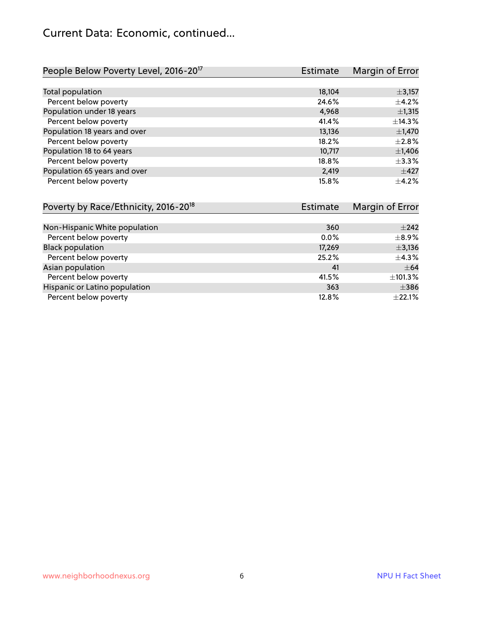#### Current Data: Economic, continued...

| People Below Poverty Level, 2016-20 <sup>17</sup> | <b>Estimate</b> | Margin of Error |
|---------------------------------------------------|-----------------|-----------------|
|                                                   |                 |                 |
| Total population                                  | 18,104          | $\pm$ 3,157     |
| Percent below poverty                             | 24.6%           | $\pm$ 4.2%      |
| Population under 18 years                         | 4,968           | ±1,315          |
| Percent below poverty                             | 41.4%           | ±14.3%          |
| Population 18 years and over                      | 13,136          | $\pm$ 1,470     |
| Percent below poverty                             | 18.2%           | $\pm 2.8\%$     |
| Population 18 to 64 years                         | 10,717          | $\pm$ 1,406     |
| Percent below poverty                             | 18.8%           | ±3.3%           |
| Population 65 years and over                      | 2,419           | $\pm 427$       |
| Percent below poverty                             | 15.8%           | $+4.2%$         |

| Poverty by Race/Ethnicity, 2016-20 <sup>18</sup> | Estimate |             |
|--------------------------------------------------|----------|-------------|
|                                                  |          |             |
| Non-Hispanic White population                    | 360      | $\pm 242$   |
| Percent below poverty                            | $0.0\%$  | $\pm$ 8.9%  |
| <b>Black population</b>                          | 17,269   | $\pm$ 3,136 |
| Percent below poverty                            | 25.2%    | $\pm$ 4.3%  |
| Asian population                                 | 41       | $\pm$ 64    |
| Percent below poverty                            | 41.5%    | ±101.3%     |
| Hispanic or Latino population                    | 363      | $\pm$ 386   |
| Percent below poverty                            | 12.8%    | $\pm$ 22.1% |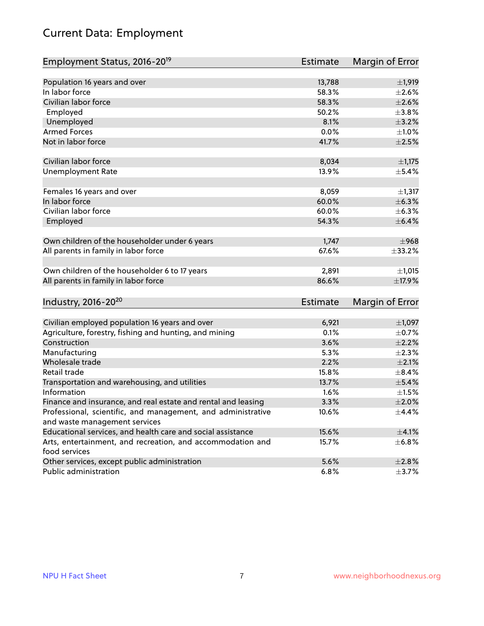## Current Data: Employment

| Employment Status, 2016-20 <sup>19</sup>                                    | <b>Estimate</b> | Margin of Error |
|-----------------------------------------------------------------------------|-----------------|-----------------|
|                                                                             |                 |                 |
| Population 16 years and over                                                | 13,788          | $\pm$ 1,919     |
| In labor force                                                              | 58.3%           | $\pm 2.6\%$     |
| Civilian labor force                                                        | 58.3%           | $\pm 2.6\%$     |
| Employed                                                                    | 50.2%           | ±3.8%           |
| Unemployed                                                                  | 8.1%            | $\pm$ 3.2%      |
| <b>Armed Forces</b>                                                         | 0.0%            | $\pm 1.0\%$     |
| Not in labor force                                                          | 41.7%           | $\pm 2.5\%$     |
| Civilian labor force                                                        | 8,034           | $\pm$ 1,175     |
| <b>Unemployment Rate</b>                                                    | 13.9%           | $\pm$ 5.4%      |
|                                                                             |                 |                 |
| Females 16 years and over                                                   | 8,059           | ±1,317          |
| In labor force                                                              | 60.0%           | $\pm$ 6.3%      |
| Civilian labor force                                                        | 60.0%           | $\pm$ 6.3%      |
| Employed                                                                    | 54.3%           | $\pm$ 6.4%      |
|                                                                             |                 |                 |
| Own children of the householder under 6 years                               | 1,747           | ±968            |
| All parents in family in labor force                                        | 67.6%           | ±33.2%          |
| Own children of the householder 6 to 17 years                               | 2,891           | ±1,015          |
| All parents in family in labor force                                        | 86.6%           | ±17.9%          |
|                                                                             |                 |                 |
| Industry, 2016-20 <sup>20</sup>                                             | Estimate        | Margin of Error |
|                                                                             |                 |                 |
| Civilian employed population 16 years and over                              | 6,921           | $\pm$ 1,097     |
| Agriculture, forestry, fishing and hunting, and mining                      | 0.1%            | $\pm$ 0.7%      |
| Construction                                                                | 3.6%            | $\pm 2.2\%$     |
| Manufacturing                                                               | 5.3%            | $\pm 2.3\%$     |
| Wholesale trade                                                             | 2.2%            | $\pm 2.1\%$     |
| Retail trade                                                                | 15.8%           | $\pm$ 8.4%      |
| Transportation and warehousing, and utilities                               | 13.7%           | $\pm$ 5.4%      |
| Information                                                                 | 1.6%            | $\pm 1.5\%$     |
| Finance and insurance, and real estate and rental and leasing               | 3.3%            | $\pm 2.0\%$     |
| Professional, scientific, and management, and administrative                | 10.6%           | $\pm$ 4.4%      |
| and waste management services                                               |                 |                 |
| Educational services, and health care and social assistance                 | 15.6%           | $\pm 4.1\%$     |
| Arts, entertainment, and recreation, and accommodation and<br>food services | 15.7%           | $\pm$ 6.8%      |
| Other services, except public administration                                | 5.6%            | $\pm 2.8\%$     |
| Public administration                                                       | 6.8%            | $\pm$ 3.7%      |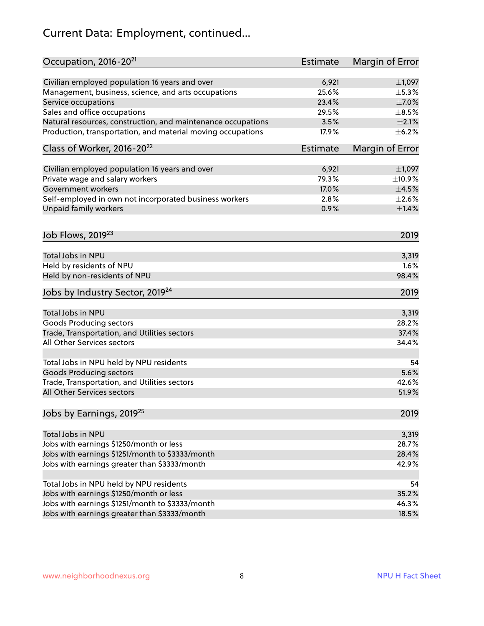## Current Data: Employment, continued...

| Occupation, 2016-20 <sup>21</sup>                                              | <b>Estimate</b> | Margin of Error |
|--------------------------------------------------------------------------------|-----------------|-----------------|
| Civilian employed population 16 years and over                                 | 6,921           | $\pm$ 1,097     |
| Management, business, science, and arts occupations                            | 25.6%           | $\pm$ 5.3%      |
| Service occupations                                                            | 23.4%           | $\pm$ 7.0%      |
| Sales and office occupations                                                   | 29.5%           | $\pm$ 8.5%      |
| Natural resources, construction, and maintenance occupations                   | 3.5%            | $\pm 2.1\%$     |
| Production, transportation, and material moving occupations                    | 17.9%           | $\pm$ 6.2%      |
| Class of Worker, 2016-20 <sup>22</sup>                                         | <b>Estimate</b> | Margin of Error |
| Civilian employed population 16 years and over                                 | 6,921           | $\pm$ 1,097     |
| Private wage and salary workers                                                | 79.3%           | ±10.9%          |
| <b>Government workers</b>                                                      | 17.0%           | $\pm 4.5\%$     |
| Self-employed in own not incorporated business workers                         | 2.8%            | $\pm 2.6\%$     |
| Unpaid family workers                                                          | 0.9%            | $\pm1.4\%$      |
| Job Flows, 2019 <sup>23</sup>                                                  |                 | 2019            |
| Total Jobs in NPU                                                              |                 | 3,319           |
| Held by residents of NPU                                                       |                 | 1.6%            |
| Held by non-residents of NPU                                                   |                 | 98.4%           |
| Jobs by Industry Sector, 2019 <sup>24</sup>                                    |                 | 2019            |
| Total Jobs in NPU                                                              |                 |                 |
|                                                                                |                 | 3,319<br>28.2%  |
| <b>Goods Producing sectors</b><br>Trade, Transportation, and Utilities sectors |                 | 37.4%           |
| All Other Services sectors                                                     |                 |                 |
|                                                                                |                 | 34.4%           |
| Total Jobs in NPU held by NPU residents                                        |                 | 54              |
| <b>Goods Producing sectors</b>                                                 |                 | 5.6%            |
| Trade, Transportation, and Utilities sectors                                   |                 | 42.6%           |
| All Other Services sectors                                                     |                 | 51.9%           |
| Jobs by Earnings, 2019 <sup>25</sup>                                           |                 | 2019            |
| Total Jobs in NPU                                                              |                 | 3,319           |
| Jobs with earnings \$1250/month or less                                        |                 | 28.7%           |
| Jobs with earnings \$1251/month to \$3333/month                                |                 | 28.4%           |
| Jobs with earnings greater than \$3333/month                                   |                 | 42.9%           |
|                                                                                |                 |                 |
| Total Jobs in NPU held by NPU residents                                        |                 | 54              |
| Jobs with earnings \$1250/month or less                                        |                 | 35.2%           |
| Jobs with earnings \$1251/month to \$3333/month                                |                 | 46.3%           |
| Jobs with earnings greater than \$3333/month                                   |                 | 18.5%           |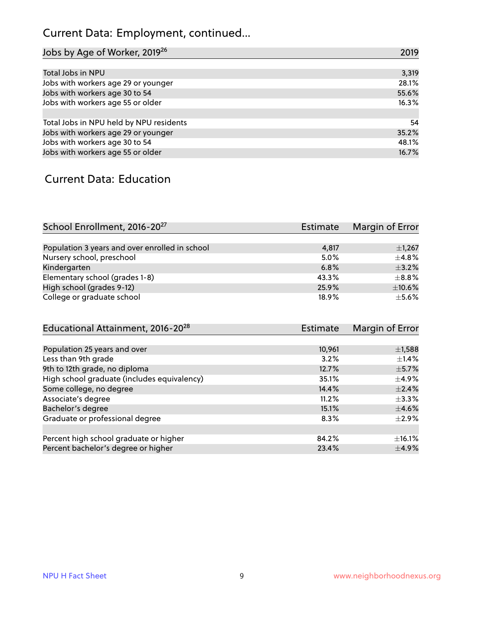## Current Data: Employment, continued...

| Jobs by Age of Worker, 2019 <sup>26</sup> | 2019  |
|-------------------------------------------|-------|
|                                           |       |
| Total Jobs in NPU                         | 3,319 |
| Jobs with workers age 29 or younger       | 28.1% |
| Jobs with workers age 30 to 54            | 55.6% |
| Jobs with workers age 55 or older         | 16.3% |
|                                           |       |
| Total Jobs in NPU held by NPU residents   | 54    |
| Jobs with workers age 29 or younger       | 35.2% |
| Jobs with workers age 30 to 54            | 48.1% |
| Jobs with workers age 55 or older         | 16.7% |

#### Current Data: Education

| School Enrollment, 2016-20 <sup>27</sup>       | Estimate | Margin of Error |
|------------------------------------------------|----------|-----------------|
|                                                |          |                 |
| Population 3 years and over enrolled in school | 4,817    | $\pm$ 1,267     |
| Nursery school, preschool                      | 5.0%     | $\pm$ 4.8%      |
| Kindergarten                                   | 6.8%     | $+3.2%$         |
| Elementary school (grades 1-8)                 | 43.3%    | $\pm$ 8.8%      |
| High school (grades 9-12)                      | 25.9%    | $\pm$ 10.6%     |
| College or graduate school                     | 18.9%    | $\pm$ 5.6%      |

| Educational Attainment, 2016-20 <sup>28</sup> | <b>Estimate</b> | Margin of Error |
|-----------------------------------------------|-----------------|-----------------|
|                                               |                 |                 |
| Population 25 years and over                  | 10,961          | $\pm$ 1,588     |
| Less than 9th grade                           | 3.2%            | $\pm$ 1.4%      |
| 9th to 12th grade, no diploma                 | 12.7%           | $\pm$ 5.7%      |
| High school graduate (includes equivalency)   | 35.1%           | $\pm$ 4.9%      |
| Some college, no degree                       | 14.4%           | $\pm$ 2.4%      |
| Associate's degree                            | 11.2%           | $\pm$ 3.3%      |
| Bachelor's degree                             | 15.1%           | $\pm 4.6\%$     |
| Graduate or professional degree               | 8.3%            | $\pm 2.9\%$     |
|                                               |                 |                 |
| Percent high school graduate or higher        | 84.2%           | $\pm$ 16.1%     |
| Percent bachelor's degree or higher           | 23.4%           | $\pm$ 4.9%      |
|                                               |                 |                 |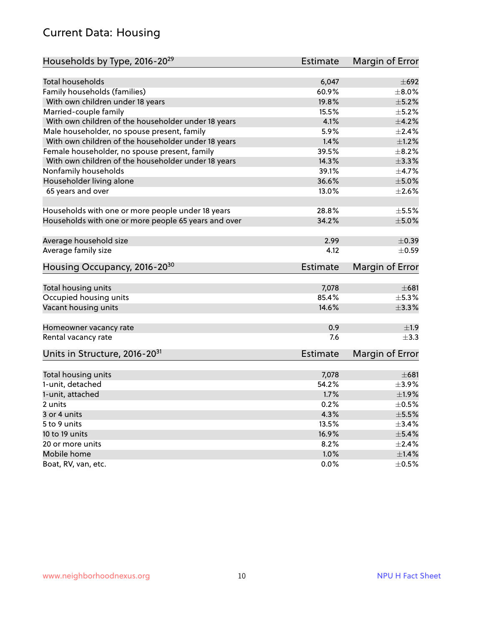#### Current Data: Housing

| Households by Type, 2016-20 <sup>29</sup>            | <b>Estimate</b> | Margin of Error |
|------------------------------------------------------|-----------------|-----------------|
|                                                      |                 |                 |
| Total households                                     | 6,047           | $\pm 692$       |
| Family households (families)                         | 60.9%           | $\pm$ 8.0%      |
| With own children under 18 years                     | 19.8%           | $\pm$ 5.2%      |
| Married-couple family                                | 15.5%           | $\pm$ 5.2%      |
| With own children of the householder under 18 years  | 4.1%            | $\pm 4.2\%$     |
| Male householder, no spouse present, family          | 5.9%            | $\pm 2.4\%$     |
| With own children of the householder under 18 years  | 1.4%            | $\pm 1.2\%$     |
| Female householder, no spouse present, family        | 39.5%           | $\pm$ 8.2%      |
| With own children of the householder under 18 years  | 14.3%           | ±3.3%           |
| Nonfamily households                                 | 39.1%           | $\pm$ 4.7%      |
| Householder living alone                             | 36.6%           | $\pm$ 5.0%      |
| 65 years and over                                    | 13.0%           | $\pm 2.6\%$     |
|                                                      |                 |                 |
| Households with one or more people under 18 years    | 28.8%           | $\pm$ 5.5%      |
| Households with one or more people 65 years and over | 34.2%           | $\pm$ 5.0%      |
|                                                      |                 |                 |
| Average household size                               | 2.99            | $\pm$ 0.39      |
| Average family size                                  | 4.12            | $\pm$ 0.59      |
| Housing Occupancy, 2016-20 <sup>30</sup>             | <b>Estimate</b> | Margin of Error |
| Total housing units                                  | 7,078           | $\pm 681$       |
| Occupied housing units                               | 85.4%           | $\pm$ 5.3%      |
| Vacant housing units                                 | 14.6%           | $\pm$ 3.3%      |
|                                                      |                 |                 |
| Homeowner vacancy rate                               | 0.9             | ±1.9            |
| Rental vacancy rate                                  | 7.6             | $\pm$ 3.3       |
| Units in Structure, 2016-20 <sup>31</sup>            | Estimate        | Margin of Error |
|                                                      |                 |                 |
| Total housing units                                  | 7,078           | $\pm 681$       |
| 1-unit, detached                                     | 54.2%           | $\pm$ 3.9%      |
| 1-unit, attached                                     | 1.7%            | ±1.9%           |
| 2 units                                              | 0.2%            | $\pm$ 0.5%      |
| 3 or 4 units                                         | 4.3%            | $\pm$ 5.5%      |
| 5 to 9 units                                         | 13.5%           | $\pm$ 3.4%      |
| 10 to 19 units                                       | 16.9%           | $\pm$ 5.4%      |
| 20 or more units                                     | 8.2%            | $\pm 2.4\%$     |
| Mobile home                                          | 1.0%            | $\pm1.4\%$      |
| Boat, RV, van, etc.                                  | $0.0\%$         | $\pm$ 0.5%      |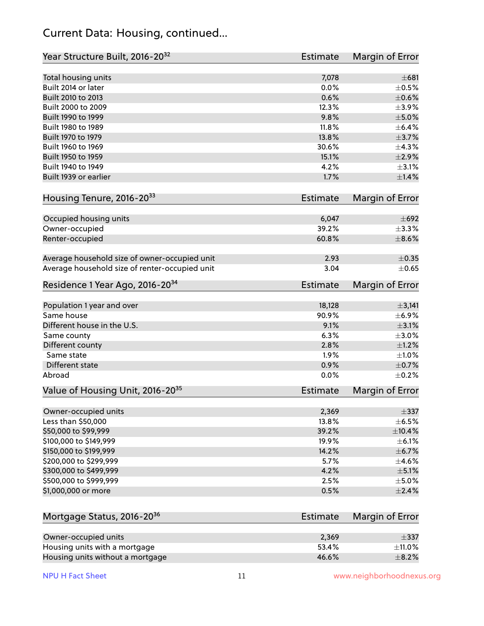#### Current Data: Housing, continued...

| Year Structure Built, 2016-20 <sup>32</sup>    | Estimate        | Margin of Error |
|------------------------------------------------|-----------------|-----------------|
| Total housing units                            | 7,078           | $\pm 681$       |
| Built 2014 or later                            | 0.0%            | $\pm$ 0.5%      |
| Built 2010 to 2013                             | 0.6%            | $\pm$ 0.6%      |
| Built 2000 to 2009                             | 12.3%           | $\pm$ 3.9%      |
| Built 1990 to 1999                             | 9.8%            | $\pm$ 5.0%      |
| Built 1980 to 1989                             | 11.8%           | $\pm$ 6.4%      |
| Built 1970 to 1979                             | 13.8%           | $\pm$ 3.7%      |
| Built 1960 to 1969                             | 30.6%           | ±4.3%           |
| Built 1950 to 1959                             | 15.1%           | $\pm 2.9\%$     |
| Built 1940 to 1949                             | 4.2%            | $\pm$ 3.1%      |
| Built 1939 or earlier                          | 1.7%            | $\pm 1.4\%$     |
| Housing Tenure, 2016-2033                      | <b>Estimate</b> | Margin of Error |
| Occupied housing units                         | 6,047           | $\pm 692$       |
| Owner-occupied                                 | 39.2%           | $\pm$ 3.3%      |
| Renter-occupied                                | 60.8%           | $\pm$ 8.6%      |
|                                                |                 |                 |
| Average household size of owner-occupied unit  | 2.93            | $\pm$ 0.35      |
| Average household size of renter-occupied unit | 3.04            | $\pm$ 0.65      |
| Residence 1 Year Ago, 2016-20 <sup>34</sup>    | Estimate        | Margin of Error |
|                                                |                 |                 |
| Population 1 year and over                     | 18,128          | ±3,141          |
| Same house                                     | 90.9%           | $\pm$ 6.9%      |
| Different house in the U.S.                    | 9.1%            | $\pm 3.1\%$     |
| Same county                                    | 6.3%            | $\pm$ 3.0%      |
| Different county                               | 2.8%            | $\pm 1.2\%$     |
| Same state                                     | 1.9%            | $\pm 1.0\%$     |
| Different state                                | 0.9%            | $\pm$ 0.7%      |
| Abroad                                         | 0.0%            | $\pm$ 0.2%      |
| Value of Housing Unit, 2016-20 <sup>35</sup>   | Estimate        | Margin of Error |
| Owner-occupied units                           | 2,369           | $\pm$ 337       |
| Less than \$50,000                             | 13.8%           | $\pm$ 6.5%      |
| \$50,000 to \$99,999                           | 39.2%           | ±10.4%          |
| \$100,000 to \$149,999                         | 19.9%           | $\pm$ 6.1%      |
| \$150,000 to \$199,999                         | 14.2%           | $\pm$ 6.7%      |
| \$200,000 to \$299,999                         | 5.7%            | $\pm$ 4.6%      |
| \$300,000 to \$499,999                         | 4.2%            | $\pm$ 5.1%      |
| \$500,000 to \$999,999                         | 2.5%            | $\pm$ 5.0%      |
| \$1,000,000 or more                            | 0.5%            | $\pm 2.4\%$     |
|                                                |                 |                 |
| Mortgage Status, 2016-20 <sup>36</sup>         | Estimate        | Margin of Error |
| Owner-occupied units                           | 2,369           | $\pm$ 337       |
| Housing units with a mortgage                  | 53.4%           | $\pm$ 11.0%     |
| Housing units without a mortgage               | 46.6%           | $\pm$ 8.2%      |

Housing units without a mortgage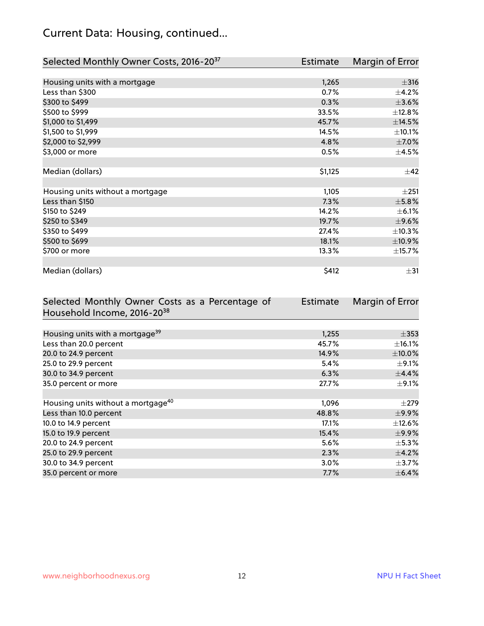## Current Data: Housing, continued...

| Selected Monthly Owner Costs, 2016-20 <sup>37</sup> | Estimate | Margin of Error |
|-----------------------------------------------------|----------|-----------------|
|                                                     |          |                 |
| Housing units with a mortgage                       | 1,265    | $\pm$ 316       |
| Less than \$300                                     | 0.7%     | $\pm$ 4.2%      |
| \$300 to \$499                                      | 0.3%     | $\pm 3.6\%$     |
| \$500 to \$999                                      | 33.5%    | ±12.8%          |
| \$1,000 to \$1,499                                  | 45.7%    | ±14.5%          |
| \$1,500 to \$1,999                                  | 14.5%    | ±10.1%          |
| \$2,000 to \$2,999                                  | 4.8%     | $\pm$ 7.0%      |
| \$3,000 or more                                     | 0.5%     | $\pm$ 4.5%      |
|                                                     |          |                 |
| Median (dollars)                                    | \$1,125  | $\pm$ 42        |
|                                                     |          |                 |
| Housing units without a mortgage                    | 1,105    | ±251            |
| Less than \$150                                     | 7.3%     | $\pm$ 5.8%      |
| \$150 to \$249                                      | 14.2%    | $\pm$ 6.1%      |
| \$250 to \$349                                      | 19.7%    | $\pm$ 9.6%      |
| \$350 to \$499                                      | 27.4%    | ±10.3%          |
| \$500 to \$699                                      | 18.1%    | ±10.9%          |
| \$700 or more                                       | 13.3%    | ±15.7%          |
|                                                     |          |                 |
| Median (dollars)                                    | \$412    | $\pm$ 31        |

| Selected Monthly Owner Costs as a Percentage of | <b>Estimate</b> | Margin of Error |
|-------------------------------------------------|-----------------|-----------------|
| Household Income, 2016-20 <sup>38</sup>         |                 |                 |
|                                                 |                 |                 |
| Housing units with a mortgage <sup>39</sup>     | 1,255           | $\pm$ 353       |
| Less than 20.0 percent                          | 45.7%           | $\pm$ 16.1%     |
| 20.0 to 24.9 percent                            | 14.9%           | $\pm$ 10.0%     |
| 25.0 to 29.9 percent                            | 5.4%            | $\pm$ 9.1%      |
| 30.0 to 34.9 percent                            | 6.3%            | $\pm$ 4.4%      |
| 35.0 percent or more                            | 27.7%           | $\pm$ 9.1%      |
|                                                 |                 |                 |
| Housing units without a mortgage <sup>40</sup>  | 1,096           | $\pm 279$       |
| Less than 10.0 percent                          | 48.8%           | $\pm$ 9.9%      |
| 10.0 to 14.9 percent                            | 17.1%           | $\pm$ 12.6%     |
| 15.0 to 19.9 percent                            | 15.4%           | $\pm$ 9.9%      |
| 20.0 to 24.9 percent                            | 5.6%            | $\pm$ 5.3%      |
| 25.0 to 29.9 percent                            | 2.3%            | $\pm$ 4.2%      |
| 30.0 to 34.9 percent                            | $3.0\%$         | $\pm$ 3.7%      |
| 35.0 percent or more                            | 7.7%            | $\pm$ 6.4%      |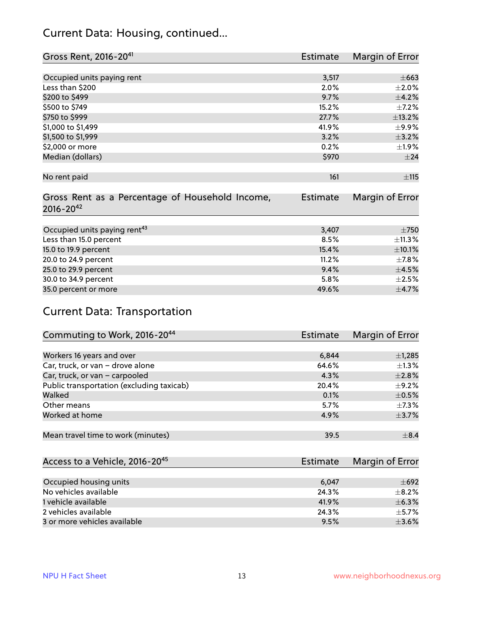#### Current Data: Housing, continued...

| Gross Rent, 2016-20 <sup>41</sup>               | Estimate        | Margin of Error |
|-------------------------------------------------|-----------------|-----------------|
|                                                 |                 |                 |
| Occupied units paying rent                      | 3,517           | $\pm$ 663       |
| Less than \$200                                 | 2.0%            | $\pm 2.0\%$     |
| \$200 to \$499                                  | 9.7%            | $\pm$ 4.2%      |
| \$500 to \$749                                  | 15.2%           | $\pm$ 7.2%      |
| \$750 to \$999                                  | 27.7%           | ±13.2%          |
| \$1,000 to \$1,499                              | 41.9%           | $\pm$ 9.9%      |
| \$1,500 to \$1,999                              | 3.2%            | $\pm$ 3.2%      |
| \$2,000 or more                                 | 0.2%            | ±1.9%           |
| Median (dollars)                                | \$970           | ±24             |
|                                                 |                 |                 |
| No rent paid                                    | 161             | ±115            |
|                                                 |                 |                 |
| Gross Rent as a Percentage of Household Income, | <b>Estimate</b> | Margin of Error |
| $2016 - 20^{42}$                                |                 |                 |
|                                                 |                 |                 |
| Occupied units paying rent <sup>43</sup>        | 3,407           | $\pm 750$       |
| Less than 15.0 percent                          | 8.5%            | ±11.3%          |
| 15.0 to 19.9 percent                            | 15.4%           | $\pm 10.1\%$    |
| 20.0 to 24.9 percent                            | 11.2%           | $\pm$ 7.8%      |
| 25.0 to 29.9 percent                            | 9.4%            | $\pm$ 4.5%      |
| 30.0 to 34.9 percent                            | 5.8%            | $\pm 2.5\%$     |
| 35.0 percent or more                            | 49.6%           | $\pm$ 4.7%      |

## Current Data: Transportation

| Commuting to Work, 2016-20 <sup>44</sup>  | Estimate | Margin of Error |
|-------------------------------------------|----------|-----------------|
|                                           |          |                 |
| Workers 16 years and over                 | 6,844    | $\pm$ 1,285     |
| Car, truck, or van - drove alone          | 64.6%    | $\pm 1.3\%$     |
| Car, truck, or van - carpooled            | 4.3%     | $\pm 2.8\%$     |
| Public transportation (excluding taxicab) | 20.4%    | $\pm$ 9.2%      |
| Walked                                    | 0.1%     | $\pm$ 0.5%      |
| Other means                               | 5.7%     | $\pm$ 7.3%      |
| Worked at home                            | 4.9%     | $\pm$ 3.7%      |
|                                           |          |                 |
| Mean travel time to work (minutes)        | 39.5     | $\pm$ 8.4       |

| Access to a Vehicle, 2016-20 <sup>45</sup> | Estimate | Margin of Error |
|--------------------------------------------|----------|-----------------|
|                                            |          |                 |
| Occupied housing units                     | 6,047    | $\pm 692$       |
| No vehicles available                      | 24.3%    | $+8.2%$         |
| 1 vehicle available                        | 41.9%    | $\pm$ 6.3%      |
| 2 vehicles available                       | 24.3%    | $\pm$ 5.7%      |
| 3 or more vehicles available               | 9.5%     | $+3.6%$         |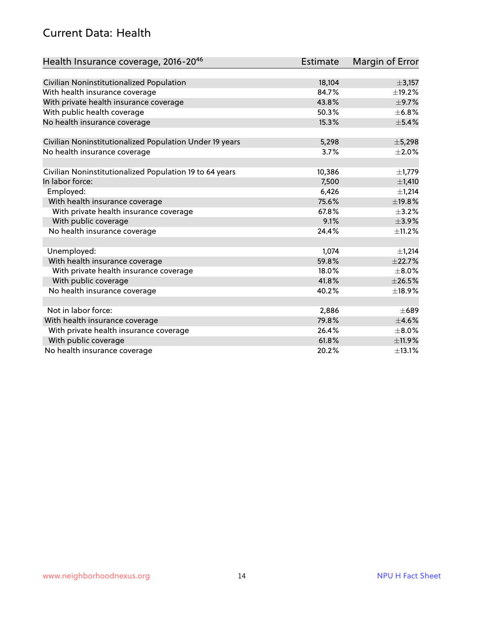#### Current Data: Health

| Health Insurance coverage, 2016-2046                    | <b>Estimate</b> | Margin of Error |
|---------------------------------------------------------|-----------------|-----------------|
|                                                         |                 |                 |
| Civilian Noninstitutionalized Population                | 18,104          | ±3,157          |
| With health insurance coverage                          | 84.7%           | $\pm$ 19.2%     |
| With private health insurance coverage                  | 43.8%           | $\pm$ 9.7%      |
| With public health coverage                             | 50.3%           | $\pm$ 6.8%      |
| No health insurance coverage                            | 15.3%           | $\pm$ 5.4%      |
| Civilian Noninstitutionalized Population Under 19 years | 5,298           | ±5,298          |
| No health insurance coverage                            | 3.7%            | $\pm 2.0\%$     |
|                                                         |                 |                 |
| Civilian Noninstitutionalized Population 19 to 64 years | 10,386          | $\pm$ 1,779     |
| In labor force:                                         | 7,500           | ±1,410          |
| Employed:                                               | 6,426           | ±1,214          |
| With health insurance coverage                          | 75.6%           | ±19.8%          |
| With private health insurance coverage                  | 67.8%           | $\pm$ 3.2%      |
| With public coverage                                    | 9.1%            | ±3.9%           |
| No health insurance coverage                            | 24.4%           | ±11.2%          |
|                                                         |                 |                 |
| Unemployed:                                             | 1,074           | ±1,214          |
| With health insurance coverage                          | 59.8%           | ±22.7%          |
| With private health insurance coverage                  | 18.0%           | $\pm$ 8.0%      |
| With public coverage                                    | 41.8%           | $\pm 26.5\%$    |
| No health insurance coverage                            | 40.2%           | ±18.9%          |
|                                                         |                 |                 |
| Not in labor force:                                     | 2,886           | $\pm 689$       |
| With health insurance coverage                          | 79.8%           | $\pm 4.6\%$     |
| With private health insurance coverage                  | 26.4%           | $\pm$ 8.0%      |
| With public coverage                                    | 61.8%           | ±11.9%          |
| No health insurance coverage                            | 20.2%           | ±13.1%          |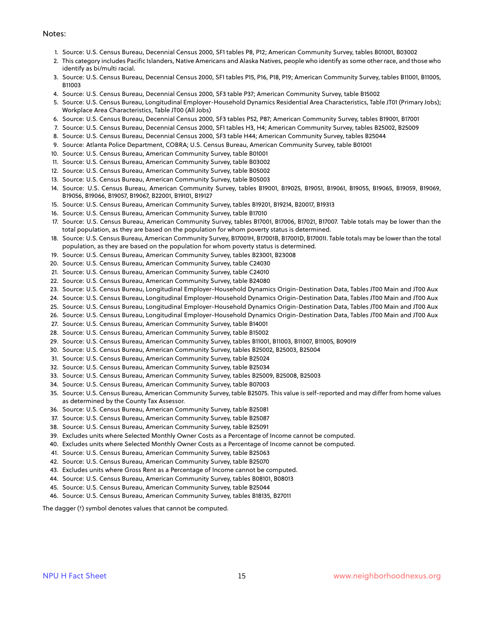#### Notes:

- 1. Source: U.S. Census Bureau, Decennial Census 2000, SF1 tables P8, P12; American Community Survey, tables B01001, B03002
- 2. This category includes Pacific Islanders, Native Americans and Alaska Natives, people who identify as some other race, and those who identify as bi/multi racial.
- 3. Source: U.S. Census Bureau, Decennial Census 2000, SF1 tables P15, P16, P18, P19; American Community Survey, tables B11001, B11005, B11003
- 4. Source: U.S. Census Bureau, Decennial Census 2000, SF3 table P37; American Community Survey, table B15002
- 5. Source: U.S. Census Bureau, Longitudinal Employer-Household Dynamics Residential Area Characteristics, Table JT01 (Primary Jobs); Workplace Area Characteristics, Table JT00 (All Jobs)
- 6. Source: U.S. Census Bureau, Decennial Census 2000, SF3 tables P52, P87; American Community Survey, tables B19001, B17001
- 7. Source: U.S. Census Bureau, Decennial Census 2000, SF1 tables H3, H4; American Community Survey, tables B25002, B25009
- 8. Source: U.S. Census Bureau, Decennial Census 2000, SF3 table H44; American Community Survey, tables B25044
- 9. Source: Atlanta Police Department, COBRA; U.S. Census Bureau, American Community Survey, table B01001
- 10. Source: U.S. Census Bureau, American Community Survey, table B01001
- 11. Source: U.S. Census Bureau, American Community Survey, table B03002
- 12. Source: U.S. Census Bureau, American Community Survey, table B05002
- 13. Source: U.S. Census Bureau, American Community Survey, table B05003
- 14. Source: U.S. Census Bureau, American Community Survey, tables B19001, B19025, B19051, B19061, B19055, B19065, B19059, B19069, B19056, B19066, B19057, B19067, B22001, B19101, B19127
- 15. Source: U.S. Census Bureau, American Community Survey, tables B19201, B19214, B20017, B19313
- 16. Source: U.S. Census Bureau, American Community Survey, table B17010
- 17. Source: U.S. Census Bureau, American Community Survey, tables B17001, B17006, B17021, B17007. Table totals may be lower than the total population, as they are based on the population for whom poverty status is determined.
- 18. Source: U.S. Census Bureau, American Community Survey, B17001H, B17001B, B17001D, B17001I. Table totals may be lower than the total population, as they are based on the population for whom poverty status is determined.
- 19. Source: U.S. Census Bureau, American Community Survey, tables B23001, B23008
- 20. Source: U.S. Census Bureau, American Community Survey, table C24030
- 21. Source: U.S. Census Bureau, American Community Survey, table C24010
- 22. Source: U.S. Census Bureau, American Community Survey, table B24080
- 23. Source: U.S. Census Bureau, Longitudinal Employer-Household Dynamics Origin-Destination Data, Tables JT00 Main and JT00 Aux
- 24. Source: U.S. Census Bureau, Longitudinal Employer-Household Dynamics Origin-Destination Data, Tables JT00 Main and JT00 Aux
- 25. Source: U.S. Census Bureau, Longitudinal Employer-Household Dynamics Origin-Destination Data, Tables JT00 Main and JT00 Aux
- 26. Source: U.S. Census Bureau, Longitudinal Employer-Household Dynamics Origin-Destination Data, Tables JT00 Main and JT00 Aux
- 27. Source: U.S. Census Bureau, American Community Survey, table B14001
- 28. Source: U.S. Census Bureau, American Community Survey, table B15002
- 29. Source: U.S. Census Bureau, American Community Survey, tables B11001, B11003, B11007, B11005, B09019
- 30. Source: U.S. Census Bureau, American Community Survey, tables B25002, B25003, B25004
- 31. Source: U.S. Census Bureau, American Community Survey, table B25024
- 32. Source: U.S. Census Bureau, American Community Survey, table B25034
- 33. Source: U.S. Census Bureau, American Community Survey, tables B25009, B25008, B25003
- 34. Source: U.S. Census Bureau, American Community Survey, table B07003
- 35. Source: U.S. Census Bureau, American Community Survey, table B25075. This value is self-reported and may differ from home values as determined by the County Tax Assessor.
- 36. Source: U.S. Census Bureau, American Community Survey, table B25081
- 37. Source: U.S. Census Bureau, American Community Survey, table B25087
- 38. Source: U.S. Census Bureau, American Community Survey, table B25091
- 39. Excludes units where Selected Monthly Owner Costs as a Percentage of Income cannot be computed.
- 40. Excludes units where Selected Monthly Owner Costs as a Percentage of Income cannot be computed.
- 41. Source: U.S. Census Bureau, American Community Survey, table B25063
- 42. Source: U.S. Census Bureau, American Community Survey, table B25070
- 43. Excludes units where Gross Rent as a Percentage of Income cannot be computed.
- 44. Source: U.S. Census Bureau, American Community Survey, tables B08101, B08013
- 45. Source: U.S. Census Bureau, American Community Survey, table B25044
- 46. Source: U.S. Census Bureau, American Community Survey, tables B18135, B27011

The dagger (†) symbol denotes values that cannot be computed.